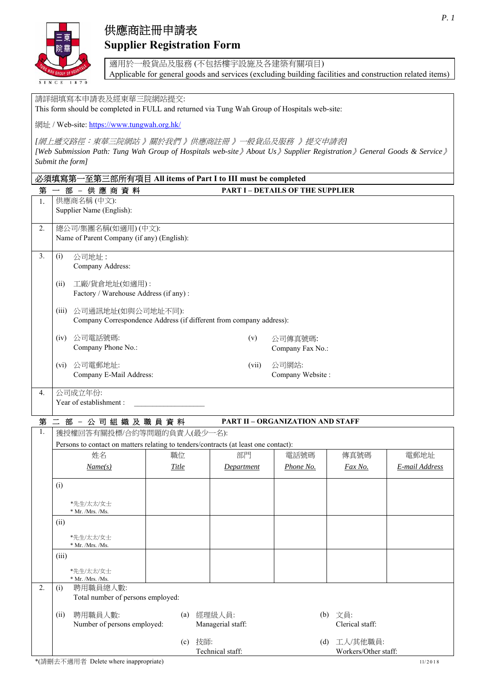

# 供應商註冊申請表 **Supplier Registration Form**

適用於一般貨品及服務 (不包括樓宇設施及各建築有關項目) Applicable for general goods and services (excluding building facilities and construction related items)

請詳細填寫本申請表及經東華三院網站提交:

This form should be completed in FULL and returned via Tung Wah Group of Hospitals web-site:

網址 / Web-site: https://www.tungwah.org.hk/

*[*網上遞交路徑:東華三院網站 》關於我們 》供應商註冊 》一般貨品及服務》提交申請表*] [Web Submission Path: Tung Wah Group of Hospitals web-site*》*About Us*》*Supplier Registration*》*General Goods & Service*》 *Submit the form]* 

| 一至第三部所有項目 All items of Part I to III must be completed<br>必須填寫第 |                                                                                     |       |                   |                                         |                 |                |
|-----------------------------------------------------------------|-------------------------------------------------------------------------------------|-------|-------------------|-----------------------------------------|-----------------|----------------|
| 第                                                               | 部 - 供應商資料                                                                           |       |                   | <b>PART I - DETAILS OF THE SUPPLIER</b> |                 |                |
| 1.                                                              | 供應商名稱(中文):                                                                          |       |                   |                                         |                 |                |
|                                                                 | Supplier Name (English):                                                            |       |                   |                                         |                 |                |
| 2.                                                              | 總公司/集團名稱(如適用)(中文):                                                                  |       |                   |                                         |                 |                |
|                                                                 | Name of Parent Company (if any) (English):                                          |       |                   |                                         |                 |                |
| 3.                                                              | 公司地址:<br>(i)                                                                        |       |                   |                                         |                 |                |
|                                                                 | Company Address:                                                                    |       |                   |                                         |                 |                |
|                                                                 |                                                                                     |       |                   |                                         |                 |                |
|                                                                 | (ii)<br>工廠/貨倉地址(如適用):<br>Factory / Warehouse Address (if any) :                     |       |                   |                                         |                 |                |
|                                                                 |                                                                                     |       |                   |                                         |                 |                |
|                                                                 | (iii) 公司通訊地址(如與公司地址不同):                                                             |       |                   |                                         |                 |                |
|                                                                 | Company Correspondence Address (if different from company address):                 |       |                   |                                         |                 |                |
|                                                                 | 公司電話號碼:<br>(iv)                                                                     |       | (v)               | 公司傳真號碼:                                 |                 |                |
|                                                                 | Company Phone No.:                                                                  |       |                   | Company Fax No.:                        |                 |                |
|                                                                 | 公司電郵地址:<br>$(v_i)$                                                                  |       | (vii)             | 公司網站:                                   |                 |                |
|                                                                 | Company E-Mail Address:                                                             |       |                   | Company Website:                        |                 |                |
|                                                                 |                                                                                     |       |                   |                                         |                 |                |
| 4.                                                              | 公司成立年份:<br>Year of establishment :                                                  |       |                   |                                         |                 |                |
|                                                                 |                                                                                     |       |                   |                                         |                 |                |
|                                                                 | 第二部-公司組織及職員資料<br><b>PART II - ORGANIZATION AND STAFF</b>                            |       |                   |                                         |                 |                |
| 1.                                                              | 獲授權回答有關投標/合約等問題的負責人(最少一名):                                                          |       |                   |                                         |                 |                |
|                                                                 | Persons to contact on matters relating to tenders/contracts (at least one contact): |       |                   |                                         |                 |                |
|                                                                 | 姓名                                                                                  | 職位    | 部門                | 電話號碼                                    | 傳真號碼            | 電郵地址           |
|                                                                 | Name(s)                                                                             | Title | Department        | Phone No.                               | Fax No.         | E-mail Address |
|                                                                 | (i)                                                                                 |       |                   |                                         |                 |                |
|                                                                 |                                                                                     |       |                   |                                         |                 |                |
|                                                                 | *先生/太太/女士<br>* Mr. /Mrs. /Ms.                                                       |       |                   |                                         |                 |                |
|                                                                 | (ii)                                                                                |       |                   |                                         |                 |                |
|                                                                 | *先生/太太/女士                                                                           |       |                   |                                         |                 |                |
|                                                                 | * Mr. /Mrs. /Ms.                                                                    |       |                   |                                         |                 |                |
|                                                                 | (iii)                                                                               |       |                   |                                         |                 |                |
|                                                                 | *先生/太太/女士                                                                           |       |                   |                                         |                 |                |
|                                                                 | $*$ Mr. /Mrs. /Ms.                                                                  |       |                   |                                         |                 |                |
| 2.                                                              | 聘用職員總人數:<br>(i)<br>Total number of persons employed:                                |       |                   |                                         |                 |                |
|                                                                 |                                                                                     |       |                   |                                         |                 |                |
|                                                                 | 聘用職員人數:<br>(ii)                                                                     | (a)   | 經理級人員:            |                                         | (b) 文員:         |                |
|                                                                 | Number of persons employed:                                                         |       | Managerial staff: |                                         | Clerical staff: |                |

(c) 技師:

Technical staff:

(d) 工人/其他職員:

Workers/Other staff: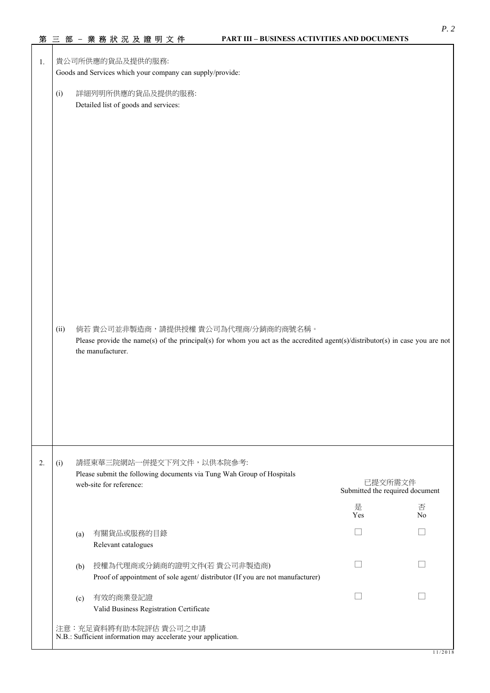|    |      | 第三部-業務狀況及證明文件                                                                                                                                                                             | <b>PART III - BUSINESS ACTIVITIES AND DOCUMENTS</b> |                                            |                     |  |
|----|------|-------------------------------------------------------------------------------------------------------------------------------------------------------------------------------------------|-----------------------------------------------------|--------------------------------------------|---------------------|--|
| 1. |      | 貴公司所供應的貨品及提供的服務:<br>Goods and Services which your company can supply/provide:                                                                                                             |                                                     |                                            |                     |  |
|    | (i)  | 詳細列明所供應的貨品及提供的服務:<br>Detailed list of goods and services:                                                                                                                                 |                                                     |                                            |                     |  |
|    | (ii) | 倘若 貴公司並非製造商,請提供授權 貴公司為代理商/分銷商的商號名稱。<br>Please provide the name(s) of the principal(s) for whom you act as the accredited agent(s)/distributor(s) in case you are not<br>the manufacturer. |                                                     |                                            |                     |  |
| 2. | (i)  | 請經東華三院網站一併提交下列文件,以供本院參考:<br>Please submit the following documents via Tung Wah Group of Hospitals<br>web-site for reference:                                                              |                                                     | 已提交所需文件<br>Submitted the required document |                     |  |
|    |      |                                                                                                                                                                                           |                                                     | 是<br>Yes                                   | 否<br>N <sub>o</sub> |  |
|    |      | 有關貨品或服務的目錄<br>(a)<br>Relevant catalogues                                                                                                                                                  |                                                     |                                            |                     |  |
|    |      | 授權為代理商或分銷商的證明文件(若貴公司非製造商)<br>(b)<br>Proof of appointment of sole agent/ distributor (If you are not manufacturer)                                                                         |                                                     |                                            |                     |  |
|    |      | 有效的商業登記證<br>(c)<br>Valid Business Registration Certificate                                                                                                                                |                                                     |                                            |                     |  |
|    |      | 注意:充足資料將有助本院評估貴公司之申請<br>N.B.: Sufficient information may accelerate your application.                                                                                                     |                                                     |                                            |                     |  |

*P. 2*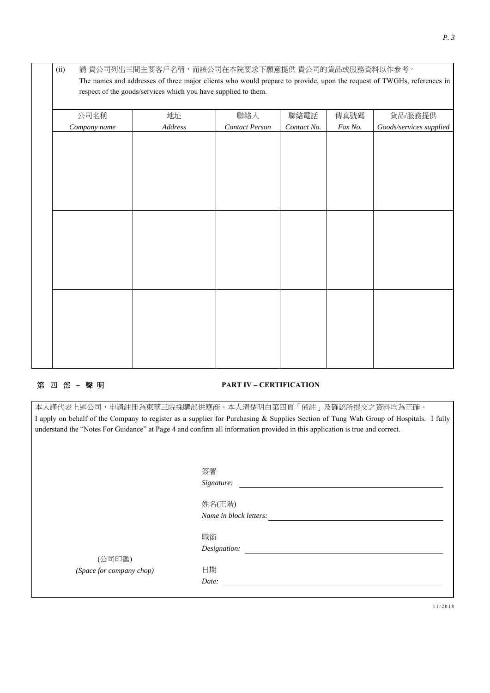| 公司名稱         | 地址      | 聯絡人                   | 聯絡電話        | 傳真號碼    | 貨品/服務提供                 |
|--------------|---------|-----------------------|-------------|---------|-------------------------|
| Company name | Address | <b>Contact Person</b> | Contact No. | Fax No. | Goods/services supplied |
|              |         |                       |             |         |                         |
|              |         |                       |             |         |                         |
|              |         |                       |             |         |                         |
|              |         |                       |             |         |                         |
|              |         |                       |             |         |                         |
|              |         |                       |             |         |                         |
|              |         |                       |             |         |                         |
|              |         |                       |             |         |                         |
|              |         |                       |             |         |                         |
|              |         |                       |             |         |                         |
|              |         |                       |             |         |                         |
|              |         |                       |             |         |                         |
|              |         |                       |             |         |                         |
|              |         |                       |             |         |                         |
|              |         |                       |             |         |                         |

### 第 四 部 – 聲 明 **PART IV – CERTIFICATION**

|                                                                                                                                      | 本人謹代表上述公司,申請註冊為東華三院採購部供應商。本人清楚明白第四頁「備註」及確認所提交之資料均為正確。 |  |  |  |  |
|--------------------------------------------------------------------------------------------------------------------------------------|-------------------------------------------------------|--|--|--|--|
| I apply on behalf of the Company to register as a supplier for Purchasing & Supplies Section of Tung Wah Group of Hospitals. I fully |                                                       |  |  |  |  |
| understand the "Notes For Guidance" at Page 4 and confirm all information provided in this application is true and correct.          |                                                       |  |  |  |  |
|                                                                                                                                      |                                                       |  |  |  |  |
|                                                                                                                                      |                                                       |  |  |  |  |
|                                                                                                                                      |                                                       |  |  |  |  |
|                                                                                                                                      | 簽署                                                    |  |  |  |  |
|                                                                                                                                      | Signature:                                            |  |  |  |  |
|                                                                                                                                      |                                                       |  |  |  |  |
|                                                                                                                                      | 姓名(正階)                                                |  |  |  |  |
|                                                                                                                                      | Name in block letters:                                |  |  |  |  |
|                                                                                                                                      |                                                       |  |  |  |  |
|                                                                                                                                      | 職銜                                                    |  |  |  |  |
|                                                                                                                                      | Designation:                                          |  |  |  |  |
| (公司印鑑)                                                                                                                               |                                                       |  |  |  |  |
| (Space for company chop)                                                                                                             | 日期                                                    |  |  |  |  |
|                                                                                                                                      | Date:                                                 |  |  |  |  |
|                                                                                                                                      |                                                       |  |  |  |  |